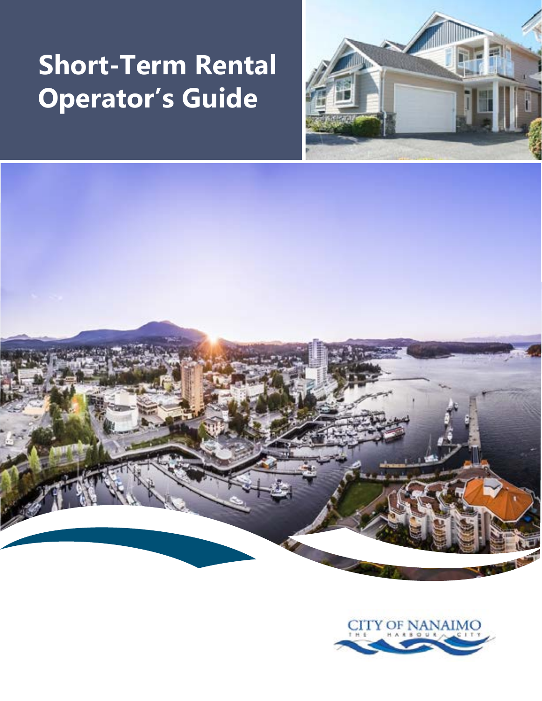# **Short-Term Rental Operator's Guide**





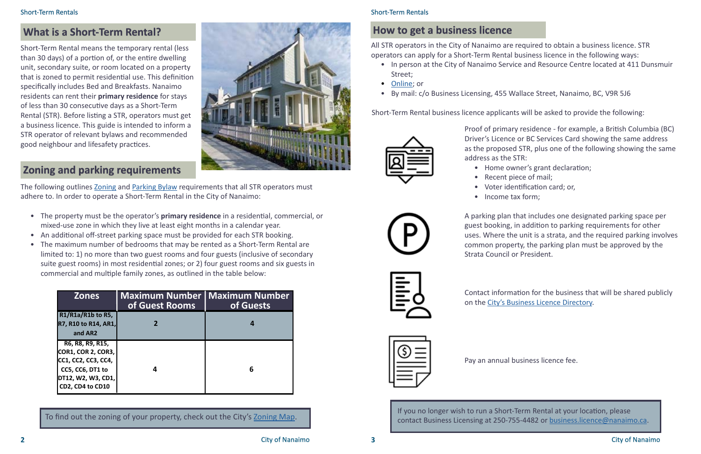# **What is a Short-Term Rental?**

# **Zoning and parking requirements**

| <b>Zones</b>                                                                                                                         | <b>Maximum Number   Maximum Number</b><br>of Guest Rooms | of Guests |
|--------------------------------------------------------------------------------------------------------------------------------------|----------------------------------------------------------|-----------|
| R1/R1a/R1b to R5,<br><b>R7, R10 to R14, AR1,</b><br>and AR2                                                                          |                                                          |           |
| R6, R8, R9, R15,<br><b>COR1, COR 2, COR3,</b><br>CC1, CC2, CC3, CC4,<br>CC5, CC6, DT1 to<br> DT12, W2, W3, CD1, <br>CD2, CD4 to CD10 |                                                          | 6         |



City of Nanaimo

#### Short-Term Rentals

# **How to get a business licence**

All STR operators in the City of Nanaimo are required to obtain a business licence. STR operators can apply for a Short-Term Rental business licence in the following ways: • In person at the City of Nanaimo Service and Resource Centre located at 411 Dunsmuir

- Street;
- [Online](https://www.nanaimo.ca/doing-business/business-licences/getting-a-business-licence/new-business-licence-application); or
- By mail: c/o Business Licensing, 455 Wallace Street, Nanaimo, BC, V9R 5J6

Short-Term Rental business licence applicants will be asked to provide the following:



Proof of primary residence - for example, a British Columbia (BC) Driver's Licence or BC Services Card showing the same address as the proposed STR, plus one of the following showing the same address as the STR:

- 
- 
- 
- Income tax form;
- Home owner's grant declaration;
- Recent piece of mail;
- Voter identification card; or,
	-

The following outlines [Zoning](https://www.nanaimo.ca/bylaws/ViewBylaw/4500.pdf) and [Parking Bylaw](https://www.nanaimo.ca/bylaws/ViewBylaw/7266.pdf) requirements that all STR operators must adhere to. In order to operate a Short-Term Rental in the City of Nanaimo:

> A parking plan that includes one designated parking space per guest booking, in addition to parking requirements for other uses. Where the unit is a strata, and the required parking involves common property, the parking plan must be approved by the Strata Council or President.



Contact information for the business that will be shared publicly on the [City's Business Licence Directory.](https://www.nanaimo.ca/business_report/keywordsearch.aspx)



To find out the zoning of your property, check out the City's [Zoning Map](https://nanmap.nanaimo.ca/Html5Viewer/index.html?viewer=NanaimoMap&layerTheme=5). If you no longer wish to run a Short-Term Rental at your location, please<br>To find out the zoning of your property, check out the City's Zoning Map. contact Business Licensing at 250-755-4482 or [business.licence@nanaimo.ca.](mailto:business.licence%40nanaimo.ca?subject=)

Pay an annual business licence fee.

Short-Term Rental means the temporary rental (less than 30 days) of a portion of, or the entire dwelling unit, secondary suite, or room located on a property that is zoned to permit residential use. This definition specifically includes Bed and Breakfasts. Nanaimo residents can rent their **primary residence** for stays of less than 30 consecutive days as a Short-Term Rental (STR). Before listing a STR, operators must get a business licence. This guide is intended to inform a STR operator of relevant bylaws and recommended good neighbour and lifesafety practices.

- The property must be the operator's **primary residence** in a residential, commercial, or mixed-use zone in which they live at least eight months in a calendar year.
- An additional off-street parking space must be provided for each STR booking.
- The maximum number of bedrooms that may be rented as a Short-Term Rental are limited to: 1) no more than two guest rooms and four guests (inclusive of secondary suite guest rooms) in most residential zones; or 2) four guest rooms and six guests in commercial and multiple family zones, as outlined in the table below: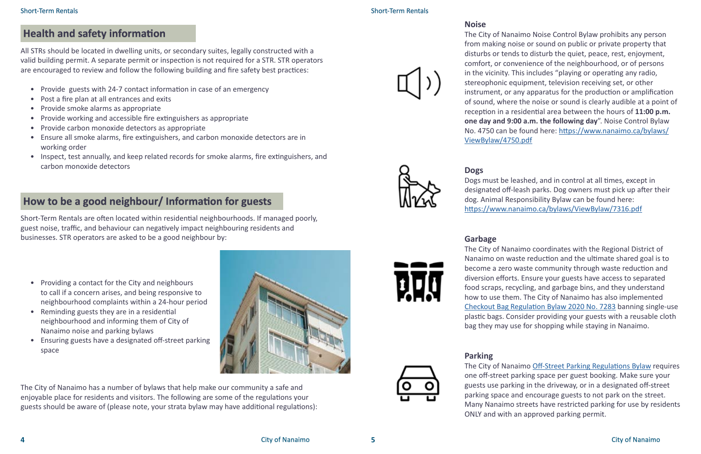## **Health and safety information**

All STRs should be located in dwelling units, or secondary suites, legally constructed with a valid building permit. A separate permit or inspection is not required for a STR. STR operators are encouraged to review and follow the following building and fire safety best practices:

- Provide guests with 24-7 contact information in case of an emergency
- Post a fire plan at all entrances and exits
- Provide smoke alarms as appropriate
- Provide working and accessible fire extinguishers as appropriate
- Provide carbon monoxide detectors as appropriate
- Ensure all smoke alarms, fire extinguishers, and carbon monoxide detectors are in working order
- Inspect, test annually, and keep related records for smoke alarms, fire extinguishers, and carbon monoxide detectors

#### Short-Term Rentals

# **How to be a good neighbour/ Information for guests**

- Providing a contact for the City and neighbours to call if a concern arises, and being responsive to neighbourhood complaints within a 24-hour period
- Reminding guests they are in a residential neighbourhood and informing them of City of Nanaimo noise and parking bylaws
- Ensuring guests have a designated off-street parking space

#### **Noise**

The City of Nanaimo Noise Control Bylaw prohibits any person from making noise or sound on public or private property that disturbs or tends to disturb the quiet, peace, rest, enjoyment, comfort, or convenience of the neighbourhood, or of persons in the vicinity. This includes "playing or operating any radio, stereophonic equipment, television receiving set, or other instrument, or any apparatus for the production or amplification of sound, where the noise or sound is clearly audible at a point of reception in a residential area between the hours of **11:00 p.m. one day and 9:00 a.m. the following day**". Noise Control Bylaw No. 4750 can be found here: [https://www.nanaimo.ca/bylaws/](https://www.nanaimo.ca/bylaws/ViewBylaw/4750.pdf) [ViewBylaw/4750.pdf](https://www.nanaimo.ca/bylaws/ViewBylaw/4750.pdf)

#### **Dogs**

Dogs must be leashed, and in control at all times, except in designated off-leash parks. Dog owners must pick up after their dog. Animal Responsibility Bylaw can be found here: <https://www.nanaimo.ca/bylaws/ViewBylaw/7316.pdf>

#### **Garbage**

The City of Nanaimo coordinates with the Regional District of Nanaimo on waste reduction and the ultimate shared goal is to become a zero waste community through waste reduction and diversion efforts. Ensure your guests have access to separated food scraps, recycling, and garbage bins, and they understand how to use them. The City of Nanaimo has also implemented [Checkout Bag Regulation Bylaw 2020 No. 7283](https://www.nanaimo.ca/bylaws/ViewBylaw/7283.pdf?DocumentId=28815) banning single-use plastic bags. Consider providing your guests with a reusable cloth bag they may use for shopping while staying in Nanaimo.

#### **Parking**

The City of Nanaimo [Off-Street Parking Regulations Bylaw](https://www.nanaimo.ca/bylaws/ViewBylaw/7266.pdf) requires one off-street parking space per guest booking. Make sure your guests use parking in the driveway, or in a designated off-street parking space and encourage guests to not park on the street. Many Nanaimo streets have restricted parking for use by residents ONLY and with an approved parking permit.

Short-Term Rentals are often located within residential neighbourhoods. If managed poorly, guest noise, traffic, and behaviour can negatively impact neighbouring residents and businesses. STR operators are asked to be a good neighbour by:

The City of Nanaimo has a number of bylaws that help make our community a safe and enjoyable place for residents and visitors. The following are some of the regulations your guests should be aware of (please note, your strata bylaw may have additional regulations):